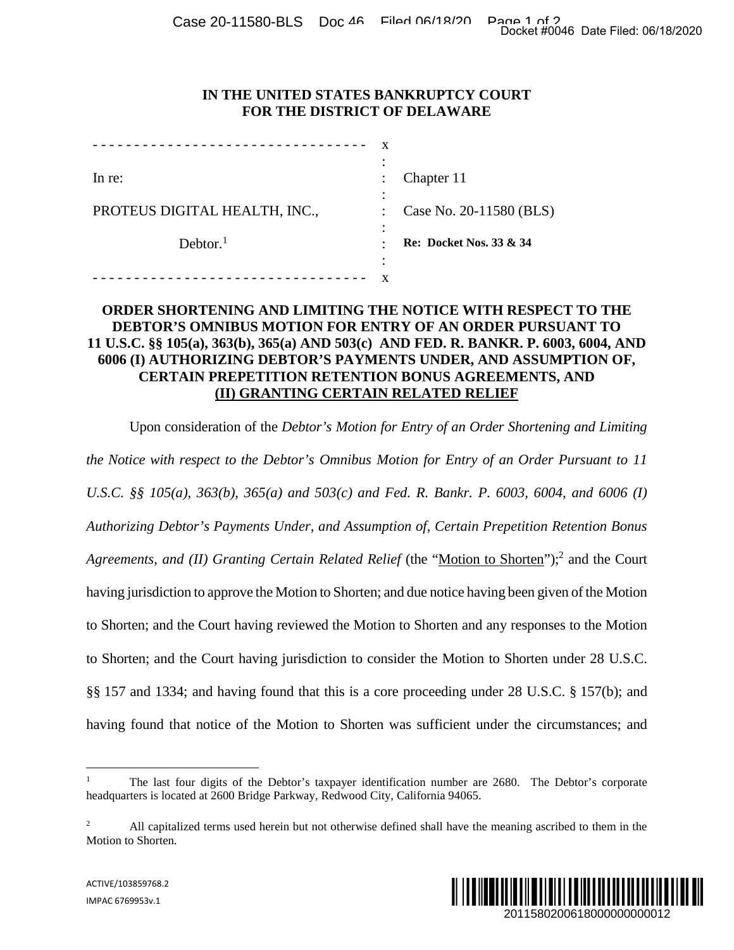Case 20-11580-BLS Doc 46 Filed 06/18/20 Page 1 of 20 at Filed: 06/18/2020

### **IN THE UNITED STATES BANKRUPTCY COURT FOR THE DISTRICT OF DELAWARE**

| In re:                        |   | Chapter 11                         |
|-------------------------------|---|------------------------------------|
| PROTEUS DIGITAL HEALTH, INC., |   | Case No. 20-11580 (BLS)            |
| Dektor. <sup>1</sup>          |   | <b>Re: Docket Nos. 33 &amp; 34</b> |
|                               | ٠ |                                    |

## **ORDER SHORTENING AND LIMITING THE NOTICE WITH RESPECT TO THE DEBTOR'S OMNIBUS MOTION FOR ENTRY OF AN ORDER PURSUANT TO 11 U.S.C. §§ 105(a), 363(b), 365(a) AND 503(c) AND FED. R. BANKR. P. 6003, 6004, AND 6006 (I) AUTHORIZING DEBTOR'S PAYMENTS UNDER, AND ASSUMPTION OF, CERTAIN PREPETITION RETENTION BONUS AGREEMENTS, AND (II) GRANTING CERTAIN RELATED RELIEF**

Upon consideration of the *Debtor's Motion for Entry of an Order Shortening and Limiting the Notice with respect to the Debtor's Omnibus Motion for Entry of an Order Pursuant to 11 U.S.C. §§ 105(a), 363(b), 365(a) and 503(c) and Fed. R. Bankr. P. 6003, 6004, and 6006 (I) Authorizing Debtor's Payments Under, and Assumption of, Certain Prepetition Retention Bonus*  Agreements, and (II) Granting Certain Related Relief (the "Motion to Shorten");<sup>2</sup> and the Court having jurisdiction to approve the Motion to Shorten; and due notice having been given of the Motion to Shorten; and the Court having reviewed the Motion to Shorten and any responses to the Motion to Shorten; and the Court having jurisdiction to consider the Motion to Shorten under 28 U.S.C. §§ 157 and 1334; and having found that this is a core proceeding under 28 U.S.C. § 157(b); and having found that notice of the Motion to Shorten was sufficient under the circumstances; and Docket #0046 Date Filed: 06/18/2020<br>
2011<br>
2012<br>
2013<br>
2013<br>
2013<br>
2013<br>
2013<br>
2015<br>
2015<br>
2015<br>
2015<br>
2015<br>
2015<br>
2015<br>
2015<br>
2016<br>
2016<br>
2016<br>
2016<br>
2010<br>
2019<br>
20115<br>
2003<br>
2010<br>
2010<br>
2010<br>
2010<br>
2010<br>
2010<br>
2010<br>
201

<sup>&</sup>lt;sup>2</sup> All capitalized terms used herein but not otherwise defined shall have the meaning ascribed to them in the Motion to Shorten.



<sup>1</sup> The last four digits of the Debtor's taxpayer identification number are 2680. The Debtor's corporate headquarters is located at 2600 Bridge Parkway, Redwood City, California 94065.